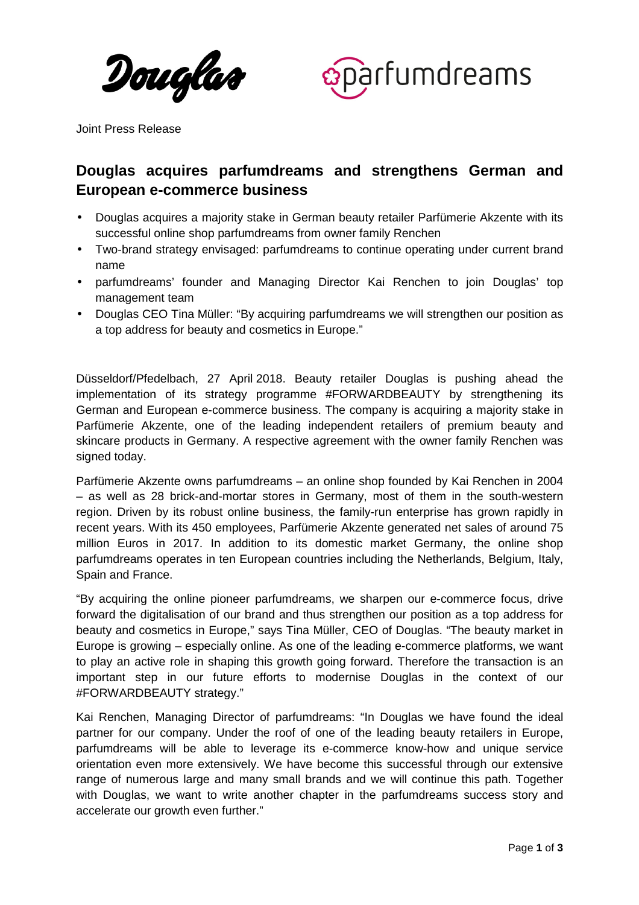Douglas



Joint Press Release

# **Douglas acquires parfumdreams and strengthens German and European e-commerce business**

- Douglas acquires a majority stake in German beauty retailer Parfümerie Akzente with its successful online shop parfumdreams from owner family Renchen
- Two-brand strategy envisaged: parfumdreams to continue operating under current brand name
- parfumdreams' founder and Managing Director Kai Renchen to join Douglas' top management team
- Douglas CEO Tina Müller: "By acquiring parfumdreams we will strengthen our position as a top address for beauty and cosmetics in Europe."

Düsseldorf/Pfedelbach, 27 April 2018. Beauty retailer Douglas is pushing ahead the implementation of its strategy programme #FORWARDBEAUTY by strengthening its German and European e-commerce business. The company is acquiring a majority stake in Parfümerie Akzente, one of the leading independent retailers of premium beauty and skincare products in Germany. A respective agreement with the owner family Renchen was signed today.

Parfümerie Akzente owns parfumdreams – an online shop founded by Kai Renchen in 2004 – as well as 28 brick-and-mortar stores in Germany, most of them in the south-western region. Driven by its robust online business, the family-run enterprise has grown rapidly in recent years. With its 450 employees, Parfümerie Akzente generated net sales of around 75 million Euros in 2017. In addition to its domestic market Germany, the online shop parfumdreams operates in ten European countries including the Netherlands, Belgium, Italy, Spain and France.

"By acquiring the online pioneer parfumdreams, we sharpen our e-commerce focus, drive forward the digitalisation of our brand and thus strengthen our position as a top address for beauty and cosmetics in Europe," says Tina Müller, CEO of Douglas. "The beauty market in Europe is growing – especially online. As one of the leading e-commerce platforms, we want to play an active role in shaping this growth going forward. Therefore the transaction is an important step in our future efforts to modernise Douglas in the context of our #FORWARDBEAUTY strategy."

Kai Renchen, Managing Director of parfumdreams: "In Douglas we have found the ideal partner for our company. Under the roof of one of the leading beauty retailers in Europe, parfumdreams will be able to leverage its e-commerce know-how and unique service orientation even more extensively. We have become this successful through our extensive range of numerous large and many small brands and we will continue this path. Together with Douglas, we want to write another chapter in the parfumdreams success story and accelerate our growth even further."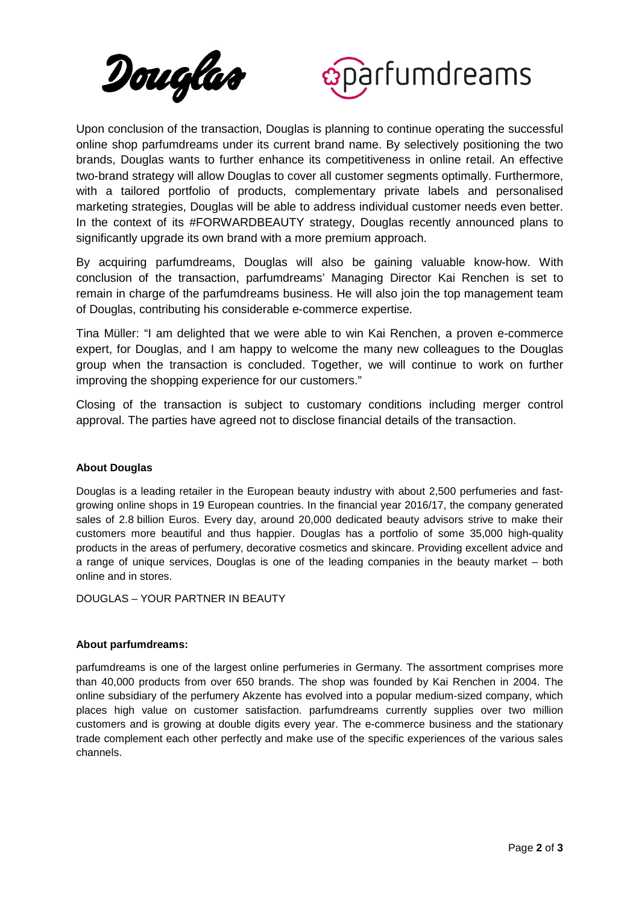



Upon conclusion of the transaction, Douglas is planning to continue operating the successful online shop parfumdreams under its current brand name. By selectively positioning the two brands, Douglas wants to further enhance its competitiveness in online retail. An effective two-brand strategy will allow Douglas to cover all customer segments optimally. Furthermore, with a tailored portfolio of products, complementary private labels and personalised marketing strategies, Douglas will be able to address individual customer needs even better. In the context of its #FORWARDBEAUTY strategy, Douglas recently announced plans to significantly upgrade its own brand with a more premium approach.

By acquiring parfumdreams, Douglas will also be gaining valuable know-how. With conclusion of the transaction, parfumdreams' Managing Director Kai Renchen is set to remain in charge of the parfumdreams business. He will also join the top management team of Douglas, contributing his considerable e-commerce expertise.

Tina Müller: "I am delighted that we were able to win Kai Renchen, a proven e-commerce expert, for Douglas, and I am happy to welcome the many new colleagues to the Douglas group when the transaction is concluded. Together, we will continue to work on further improving the shopping experience for our customers."

Closing of the transaction is subject to customary conditions including merger control approval. The parties have agreed not to disclose financial details of the transaction.

### **About Douglas**

Douglas is a leading retailer in the European beauty industry with about 2,500 perfumeries and fastgrowing online shops in 19 European countries. In the financial year 2016/17, the company generated sales of 2.8 billion Euros. Every day, around 20,000 dedicated beauty advisors strive to make their customers more beautiful and thus happier. Douglas has a portfolio of some 35,000 high-quality products in the areas of perfumery, decorative cosmetics and skincare. Providing excellent advice and a range of unique services, Douglas is one of the leading companies in the beauty market – both online and in stores.

DOUGLAS – YOUR PARTNER IN BEAUTY

## **About parfumdreams:**

parfumdreams is one of the largest online perfumeries in Germany. The assortment comprises more than 40,000 products from over 650 brands. The shop was founded by Kai Renchen in 2004. The online subsidiary of the perfumery Akzente has evolved into a popular medium-sized company, which places high value on customer satisfaction. parfumdreams currently supplies over two million customers and is growing at double digits every year. The e-commerce business and the stationary trade complement each other perfectly and make use of the specific experiences of the various sales channels.